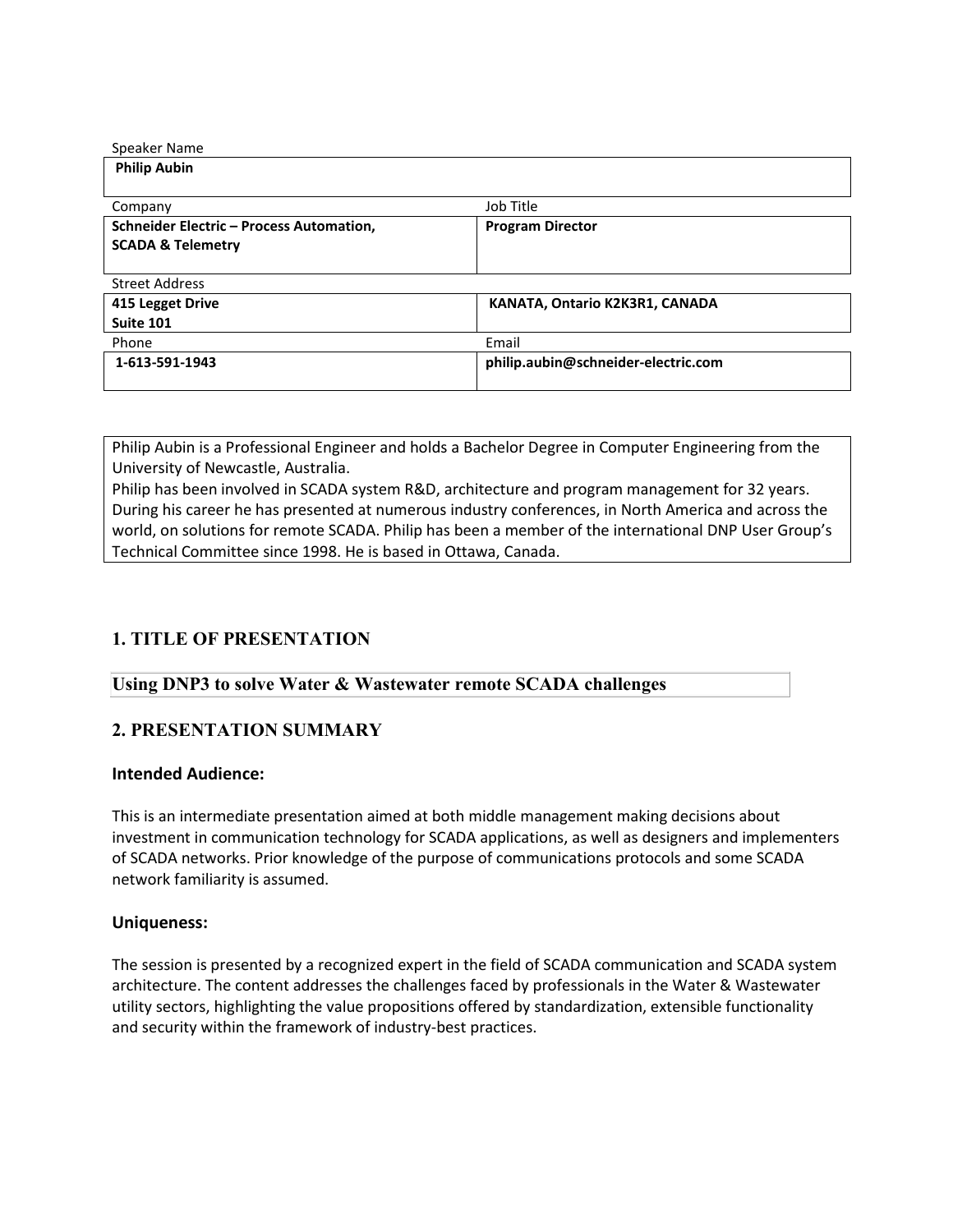| Speaker Name                                    |                                     |
|-------------------------------------------------|-------------------------------------|
| <b>Philip Aubin</b>                             |                                     |
|                                                 |                                     |
| Company                                         | Job Title                           |
| <b>Schneider Electric - Process Automation,</b> | <b>Program Director</b>             |
| <b>SCADA &amp; Telemetry</b>                    |                                     |
|                                                 |                                     |
| <b>Street Address</b>                           |                                     |
| 415 Legget Drive                                | KANATA, Ontario K2K3R1, CANADA      |
| Suite 101                                       |                                     |
| Phone                                           | Email                               |
| 1-613-591-1943                                  | philip.aubin@schneider-electric.com |
|                                                 |                                     |

Philip Aubin is a Professional Engineer and holds a Bachelor Degree in Computer Engineering from the University of Newcastle, Australia.

Philip has been involved in SCADA system R&D, architecture and program management for 32 years. During his career he has presented at numerous industry conferences, in North America and across the world, on solutions for remote SCADA. Philip has been a member of the international DNP User Group's Technical Committee since 1998. He is based in Ottawa, Canada.

## **1. TITLE OF PRESENTATION**

#### **Using DNP3 to solve Water & Wastewater remote SCADA challenges**

### **2. PRESENTATION SUMMARY**

#### **Intended Audience:**

This is an intermediate presentation aimed at both middle management making decisions about investment in communication technology for SCADA applications, as well as designers and implementers of SCADA networks. Prior knowledge of the purpose of communications protocols and some SCADA network familiarity is assumed.

#### **Uniqueness:**

The session is presented by a recognized expert in the field of SCADA communication and SCADA system architecture. The content addresses the challenges faced by professionals in the Water & Wastewater utility sectors, highlighting the value propositions offered by standardization, extensible functionality and security within the framework of industry-best practices.